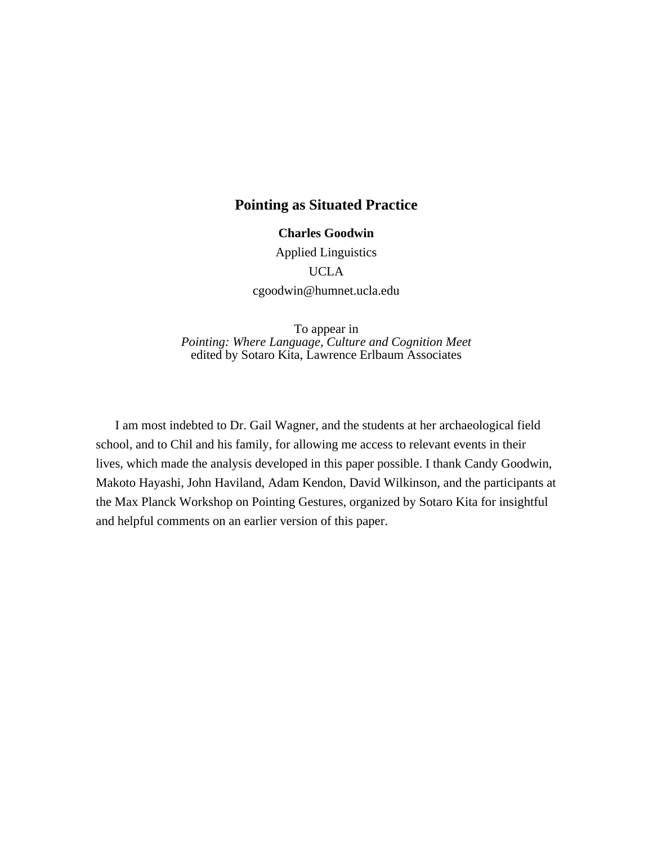#### **Pointing as Situated Practice**

#### **Charles Goodwin**

Applied Linguistics UCLA cgoodwin@humnet.ucla.edu

To appear in *Pointing: Where Language, Culture and Cognition Meet* edited by Sotaro Kita, Lawrence Erlbaum Associates

I am most indebted to Dr. Gail Wagner, and the students at her archaeological field school, and to Chil and his family, for allowing me access to relevant events in their lives, which made the analysis developed in this paper possible. I thank Candy Goodwin, Makoto Hayashi, John Haviland, Adam Kendon, David Wilkinson, and the participants at the Max Planck Workshop on Pointing Gestures, organized by Sotaro Kita for insightful and helpful comments on an earlier version of this paper.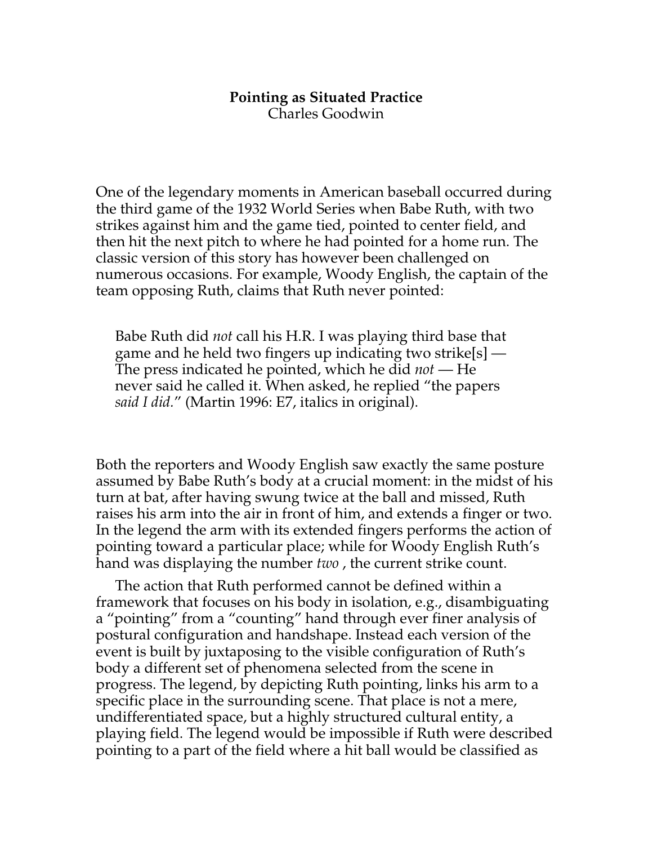#### **Pointing as Situated Practice**

Charles Goodwin

One of the legendary moments in American baseball occurred during the third game of the 1932 World Series when Babe Ruth, with two strikes against him and the game tied, pointed to center field, and then hit the next pitch to where he had pointed for a home run. The classic version of this story has however been challenged on numerous occasions. For example, Woody English, the captain of the team opposing Ruth, claims that Ruth never pointed:

Babe Ruth did *not* call his H.R. I was playing third base that game and he held two fingers up indicating two strike[s] — The press indicated he pointed, which he did *not* — He never said he called it. When asked, he replied "the papers *said I did.*" (Martin 1996: E7, italics in original).

Both the reporters and Woody English saw exactly the same posture assumed by Babe Ruth's body at a crucial moment: in the midst of his turn at bat, after having swung twice at the ball and missed, Ruth raises his arm into the air in front of him, and extends a finger or two. In the legend the arm with its extended fingers performs the action of pointing toward a particular place; while for Woody English Ruth's hand was displaying the number *two* , the current strike count.

The action that Ruth performed cannot be defined within a framework that focuses on his body in isolation, e.g., disambiguating a "pointing" from a "counting" hand through ever finer analysis of postural configuration and handshape. Instead each version of the event is built by juxtaposing to the visible configuration of Ruth's body a different set of phenomena selected from the scene in progress. The legend, by depicting Ruth pointing, links his arm to a specific place in the surrounding scene. That place is not a mere, undifferentiated space, but a highly structured cultural entity, a playing field. The legend would be impossible if Ruth were described pointing to a part of the field where a hit ball would be classified as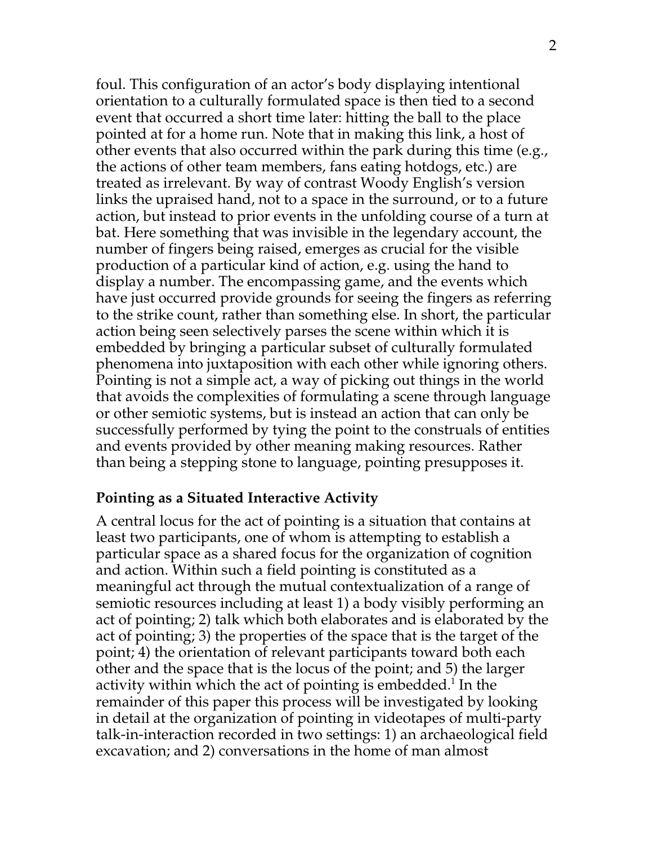foul. This configuration of an actor's body displaying intentional orientation to a culturally formulated space is then tied to a second event that occurred a short time later: hitting the ball to the place pointed at for a home run. Note that in making this link, a host of other events that also occurred within the park during this time (e.g., the actions of other team members, fans eating hotdogs, etc.) are treated as irrelevant. By way of contrast Woody English's version links the upraised hand, not to a space in the surround, or to a future action, but instead to prior events in the unfolding course of a turn at bat. Here something that was invisible in the legendary account, the number of fingers being raised, emerges as crucial for the visible production of a particular kind of action, e.g. using the hand to display a number. The encompassing game, and the events which have just occurred provide grounds for seeing the fingers as referring to the strike count, rather than something else. In short, the particular action being seen selectively parses the scene within which it is embedded by bringing a particular subset of culturally formulated phenomena into juxtaposition with each other while ignoring others. Pointing is not a simple act, a way of picking out things in the world that avoids the complexities of formulating a scene through language or other semiotic systems, but is instead an action that can only be successfully performed by tying the point to the construals of entities and events provided by other meaning making resources. Rather than being a stepping stone to language, pointing presupposes it.

## **Pointing as a Situated Interactive Activity**

A central locus for the act of pointing is a situation that contains at least two participants, one of whom is attempting to establish a particular space as a shared focus for the organization of cognition and action. Within such a field pointing is constituted as a meaningful act through the mutual contextualization of a range of semiotic resources including at least 1) a body visibly performing an act of pointing; 2) talk which both elaborates and is elaborated by the act of pointing; 3) the properties of the space that is the target of the point; 4) the orientation of relevant participants toward both each other and the space that is the locus of the point; and 5) the larger activity within which the act of pointing is embedded. $^{\rm 1}$  In the remainder of this paper this process will be investigated by looking in detail at the organization of pointing in videotapes of multi-party talk-in-interaction recorded in two settings: 1) an archaeological field excavation; and 2) conversations in the home of man almost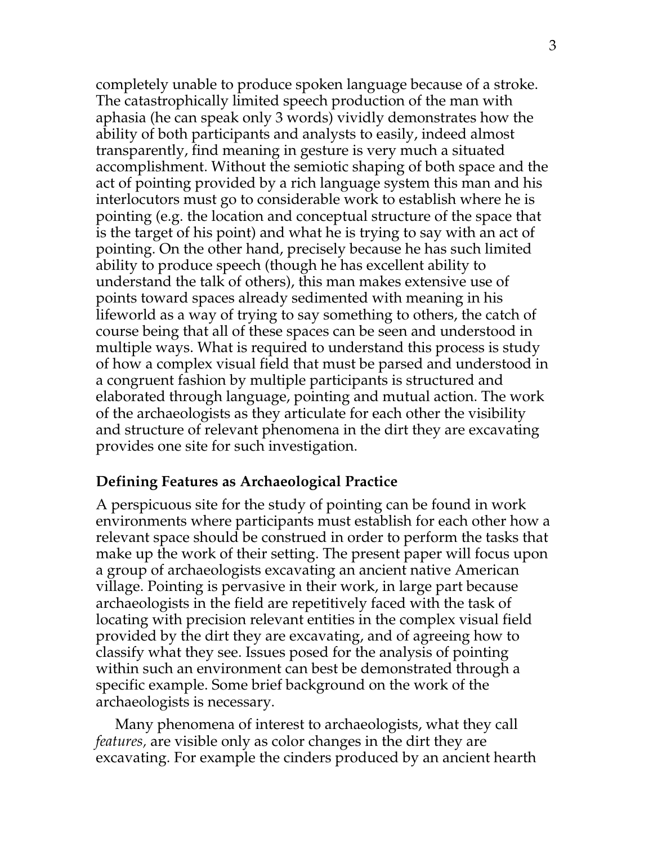completely unable to produce spoken language because of a stroke. The catastrophically limited speech production of the man with aphasia (he can speak only 3 words) vividly demonstrates how the ability of both participants and analysts to easily, indeed almost transparently, find meaning in gesture is very much a situated accomplishment. Without the semiotic shaping of both space and the act of pointing provided by a rich language system this man and his interlocutors must go to considerable work to establish where he is pointing (e.g. the location and conceptual structure of the space that is the target of his point) and what he is trying to say with an act of pointing. On the other hand, precisely because he has such limited ability to produce speech (though he has excellent ability to understand the talk of others), this man makes extensive use of points toward spaces already sedimented with meaning in his lifeworld as a way of trying to say something to others, the catch of course being that all of these spaces can be seen and understood in multiple ways. What is required to understand this process is study of how a complex visual field that must be parsed and understood in a congruent fashion by multiple participants is structured and elaborated through language, pointing and mutual action. The work of the archaeologists as they articulate for each other the visibility and structure of relevant phenomena in the dirt they are excavating provides one site for such investigation.

#### **Defining Features as Archaeological Practice**

A perspicuous site for the study of pointing can be found in work environments where participants must establish for each other how a relevant space should be construed in order to perform the tasks that make up the work of their setting. The present paper will focus upon a group of archaeologists excavating an ancient native American village. Pointing is pervasive in their work, in large part because archaeologists in the field are repetitively faced with the task of locating with precision relevant entities in the complex visual field provided by the dirt they are excavating, and of agreeing how to classify what they see. Issues posed for the analysis of pointing within such an environment can best be demonstrated through a specific example. Some brief background on the work of the archaeologists is necessary.

Many phenomena of interest to archaeologists, what they call *features,* are visible only as color changes in the dirt they are excavating. For example the cinders produced by an ancient hearth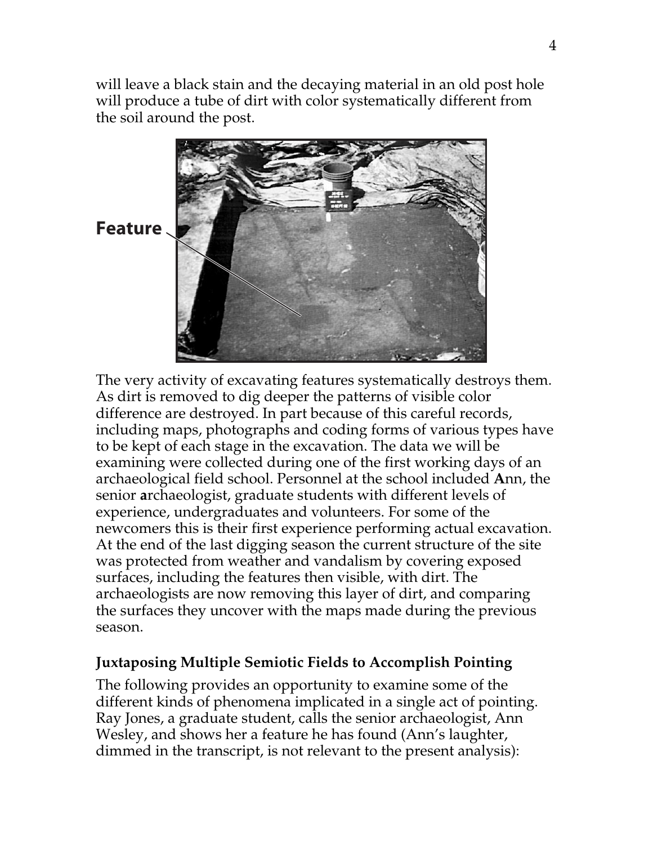will leave a black stain and the decaying material in an old post hole will produce a tube of dirt with color systematically different from the soil around the post.



The very activity of excavating features systematically destroys them. As dirt is removed to dig deeper the patterns of visible color difference are destroyed. In part because of this careful records, including maps, photographs and coding forms of various types have to be kept of each stage in the excavation. The data we will be examining were collected during one of the first working days of an archaeological field school. Personnel at the school included **A**nn, the senior **a**rchaeologist, graduate students with different levels of experience, undergraduates and volunteers. For some of the newcomers this is their first experience performing actual excavation. At the end of the last digging season the current structure of the site was protected from weather and vandalism by covering exposed surfaces, including the features then visible, with dirt. The archaeologists are now removing this layer of dirt, and comparing the surfaces they uncover with the maps made during the previous season.

## **Juxtaposing Multiple Semiotic Fields to Accomplish Pointing**

The following provides an opportunity to examine some of the different kinds of phenomena implicated in a single act of pointing. Ray Jones, a graduate student, calls the senior archaeologist, Ann Wesley, and shows her a feature he has found (Ann's laughter, dimmed in the transcript, is not relevant to the present analysis):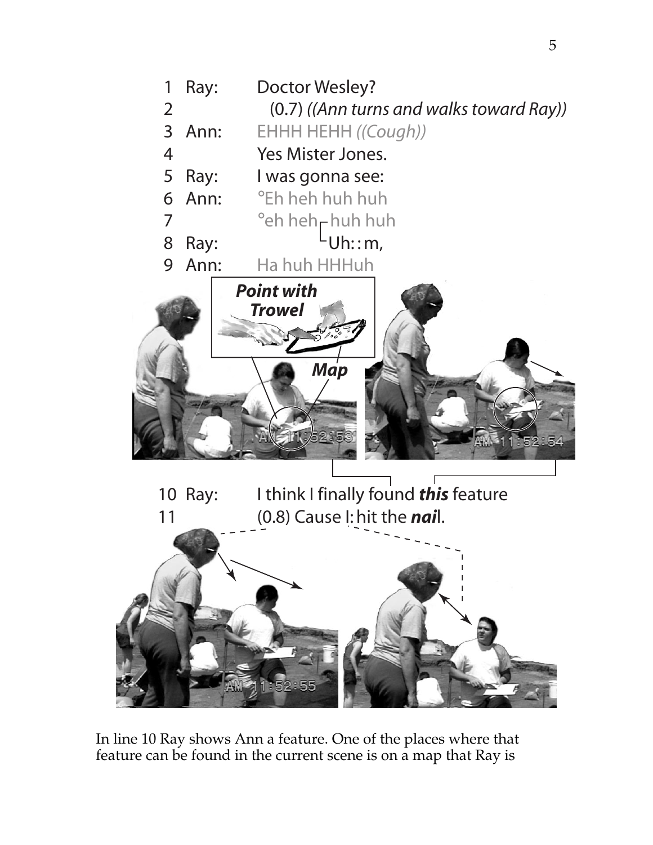

In line 10 Ray shows Ann a feature. One of the places where that feature can be found in the current scene is on a map that Ray is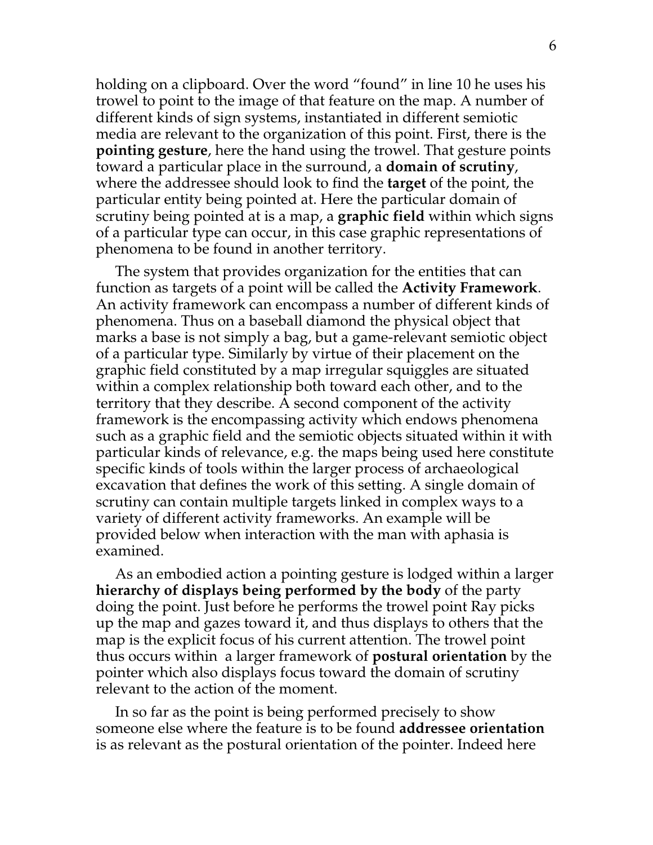holding on a clipboard. Over the word "found" in line 10 he uses his trowel to point to the image of that feature on the map. A number of different kinds of sign systems, instantiated in different semiotic media are relevant to the organization of this point. First, there is the **pointing gesture**, here the hand using the trowel. That gesture points toward a particular place in the surround, a **domain of scrutiny**, where the addressee should look to find the **target** of the point, the particular entity being pointed at. Here the particular domain of scrutiny being pointed at is a map, a **graphic field** within which signs of a particular type can occur, in this case graphic representations of phenomena to be found in another territory.

The system that provides organization for the entities that can function as targets of a point will be called the **Activity Framework**. An activity framework can encompass a number of different kinds of phenomena. Thus on a baseball diamond the physical object that marks a base is not simply a bag, but a game-relevant semiotic object of a particular type. Similarly by virtue of their placement on the graphic field constituted by a map irregular squiggles are situated within a complex relationship both toward each other, and to the territory that they describe. A second component of the activity framework is the encompassing activity which endows phenomena such as a graphic field and the semiotic objects situated within it with particular kinds of relevance, e.g. the maps being used here constitute specific kinds of tools within the larger process of archaeological excavation that defines the work of this setting. A single domain of scrutiny can contain multiple targets linked in complex ways to a variety of different activity frameworks. An example will be provided below when interaction with the man with aphasia is examined.

As an embodied action a pointing gesture is lodged within a larger **hierarchy of displays being performed by the body** of the party doing the point. Just before he performs the trowel point Ray picks up the map and gazes toward it, and thus displays to others that the map is the explicit focus of his current attention. The trowel point thus occurs within a larger framework of **postural orientation** by the pointer which also displays focus toward the domain of scrutiny relevant to the action of the moment.

In so far as the point is being performed precisely to show someone else where the feature is to be found **addressee orientation** is as relevant as the postural orientation of the pointer. Indeed here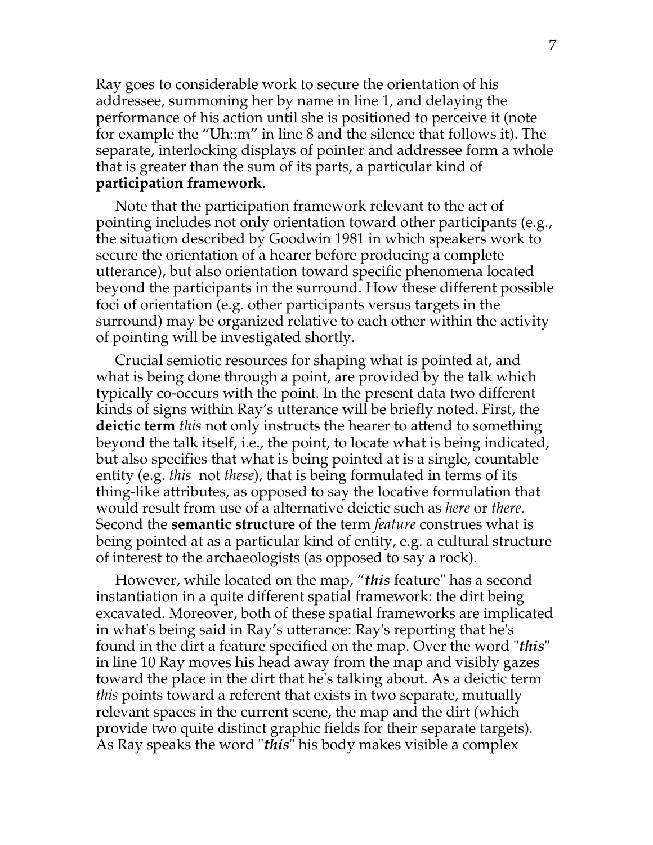Ray goes to considerable work to secure the orientation of his addressee, summoning her by name in line 1, and delaying the performance of his action until she is positioned to perceive it (note for example the "Uh::m" in line 8 and the silence that follows it). The separate, interlocking displays of pointer and addressee form a whole that is greater than the sum of its parts, a particular kind of **participation framework**.

Note that the participation framework relevant to the act of pointing includes not only orientation toward other participants (e.g., the situation described by Goodwin 1981 in which speakers work to secure the orientation of a hearer before producing a complete utterance), but also orientation toward specific phenomena located beyond the participants in the surround. How these different possible foci of orientation (e.g. other participants versus targets in the surround) may be organized relative to each other within the activity of pointing will be investigated shortly.

Crucial semiotic resources for shaping what is pointed at, and what is being done through a point, are provided by the talk which typically co-occurs with the point. In the present data two different kinds of signs within Ray's utterance will be briefly noted. First, the **deictic term** *this* not only instructs the hearer to attend to something beyond the talk itself, i.e., the point, to locate what is being indicated, but also specifies that what is being pointed at is a single, countable entity (e.g. *this* not *these*), that is being formulated in terms of its thing-like attributes, as opposed to say the locative formulation that would result from use of a alternative deictic such as *here* or *there*. Second the **semantic structure** of the term *feature* construes what is being pointed at as a particular kind of entity, e.g. a cultural structure of interest to the archaeologists (as opposed to say a rock).

However, while located on the map, "*this* feature" has a second instantiation in a quite different spatial framework: the dirt being excavated. Moreover, both of these spatial frameworks are implicated in what's being said in Ray's utterance: Ray's reporting that he's found in the dirt a feature specified on the map. Over the word "*this*" in line 10 Ray moves his head away from the map and visibly gazes toward the place in the dirt that he's talking about. As a deictic term *this* points toward a referent that exists in two separate, mutually relevant spaces in the current scene, the map and the dirt (which provide two quite distinct graphic fields for their separate targets). As Ray speaks the word "*this*" his body makes visible a complex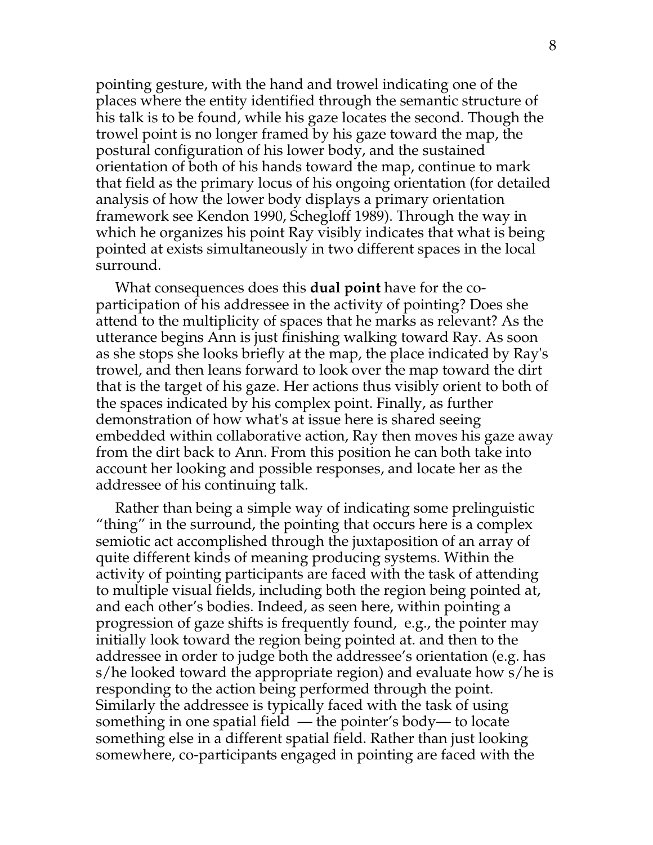pointing gesture, with the hand and trowel indicating one of the places where the entity identified through the semantic structure of his talk is to be found, while his gaze locates the second. Though the trowel point is no longer framed by his gaze toward the map, the postural configuration of his lower body, and the sustained orientation of both of his hands toward the map, continue to mark that field as the primary locus of his ongoing orientation (for detailed analysis of how the lower body displays a primary orientation framework see Kendon 1990, Schegloff 1989). Through the way in which he organizes his point Ray visibly indicates that what is being pointed at exists simultaneously in two different spaces in the local surround.

What consequences does this **dual point** have for the coparticipation of his addressee in the activity of pointing? Does she attend to the multiplicity of spaces that he marks as relevant? As the utterance begins Ann is just finishing walking toward Ray. As soon as she stops she looks briefly at the map, the place indicated by Ray's trowel, and then leans forward to look over the map toward the dirt that is the target of his gaze. Her actions thus visibly orient to both of the spaces indicated by his complex point. Finally, as further demonstration of how what's at issue here is shared seeing embedded within collaborative action, Ray then moves his gaze away from the dirt back to Ann. From this position he can both take into account her looking and possible responses, and locate her as the addressee of his continuing talk.

Rather than being a simple way of indicating some prelinguistic "thing" in the surround, the pointing that occurs here is a complex semiotic act accomplished through the juxtaposition of an array of quite different kinds of meaning producing systems. Within the activity of pointing participants are faced with the task of attending to multiple visual fields, including both the region being pointed at, and each other's bodies. Indeed, as seen here, within pointing a progression of gaze shifts is frequently found, e.g., the pointer may initially look toward the region being pointed at. and then to the addressee in order to judge both the addressee's orientation (e.g. has s/he looked toward the appropriate region) and evaluate how s/he is responding to the action being performed through the point. Similarly the addressee is typically faced with the task of using something in one spatial field — the pointer's body— to locate something else in a different spatial field. Rather than just looking somewhere, co-participants engaged in pointing are faced with the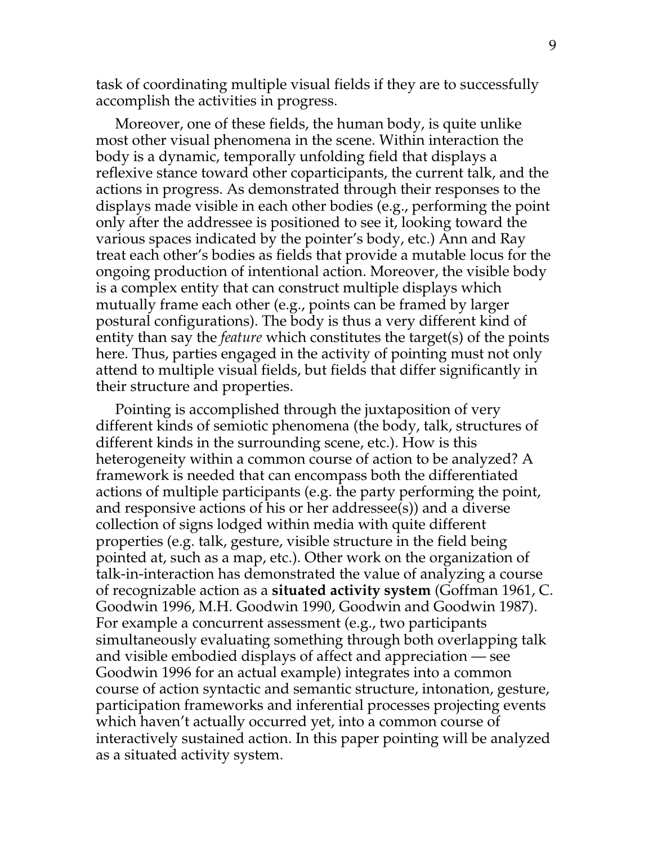task of coordinating multiple visual fields if they are to successfully accomplish the activities in progress.

Moreover, one of these fields, the human body, is quite unlike most other visual phenomena in the scene. Within interaction the body is a dynamic, temporally unfolding field that displays a reflexive stance toward other coparticipants, the current talk, and the actions in progress. As demonstrated through their responses to the displays made visible in each other bodies (e.g., performing the point only after the addressee is positioned to see it, looking toward the various spaces indicated by the pointer's body, etc.) Ann and Ray treat each other's bodies as fields that provide a mutable locus for the ongoing production of intentional action. Moreover, the visible body is a complex entity that can construct multiple displays which mutually frame each other (e.g., points can be framed by larger postural configurations). The body is thus a very different kind of entity than say the *feature* which constitutes the target(s) of the points here. Thus, parties engaged in the activity of pointing must not only attend to multiple visual fields, but fields that differ significantly in their structure and properties.

Pointing is accomplished through the juxtaposition of very different kinds of semiotic phenomena (the body, talk, structures of different kinds in the surrounding scene, etc.). How is this heterogeneity within a common course of action to be analyzed? A framework is needed that can encompass both the differentiated actions of multiple participants (e.g. the party performing the point, and responsive actions of his or her addressee(s)) and a diverse collection of signs lodged within media with quite different properties (e.g. talk, gesture, visible structure in the field being pointed at, such as a map, etc.). Other work on the organization of talk-in-interaction has demonstrated the value of analyzing a course of recognizable action as a **situated activity system** (Goffman 1961, C. Goodwin 1996, M.H. Goodwin 1990, Goodwin and Goodwin 1987). For example a concurrent assessment (e.g., two participants simultaneously evaluating something through both overlapping talk and visible embodied displays of affect and appreciation — see Goodwin 1996 for an actual example) integrates into a common course of action syntactic and semantic structure, intonation, gesture, participation frameworks and inferential processes projecting events which haven't actually occurred yet, into a common course of interactively sustained action. In this paper pointing will be analyzed as a situated activity system.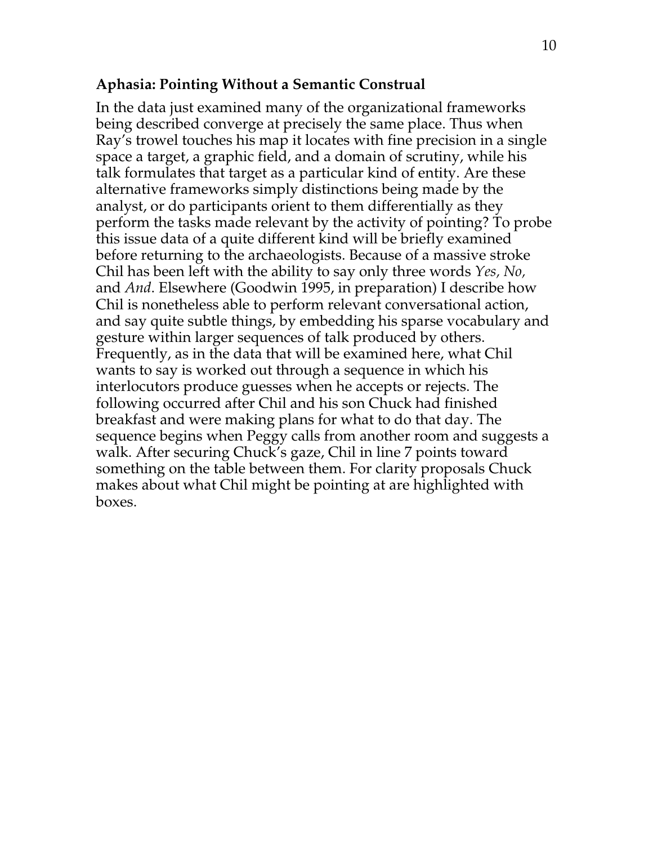#### **Aphasia: Pointing Without a Semantic Construal**

In the data just examined many of the organizational frameworks being described converge at precisely the same place. Thus when Ray's trowel touches his map it locates with fine precision in a single space a target, a graphic field, and a domain of scrutiny, while his talk formulates that target as a particular kind of entity. Are these alternative frameworks simply distinctions being made by the analyst, or do participants orient to them differentially as they perform the tasks made relevant by the activity of pointing? To probe this issue data of a quite different kind will be briefly examined before returning to the archaeologists. Because of a massive stroke Chil has been left with the ability to say only three words *Yes, No,* and *And*. Elsewhere (Goodwin 1995, in preparation) I describe how Chil is nonetheless able to perform relevant conversational action, and say quite subtle things, by embedding his sparse vocabulary and gesture within larger sequences of talk produced by others. Frequently, as in the data that will be examined here, what Chil wants to say is worked out through a sequence in which his interlocutors produce guesses when he accepts or rejects. The following occurred after Chil and his son Chuck had finished breakfast and were making plans for what to do that day. The sequence begins when Peggy calls from another room and suggests a walk. After securing Chuck's gaze, Chil in line 7 points toward something on the table between them. For clarity proposals Chuck makes about what Chil might be pointing at are highlighted with boxes.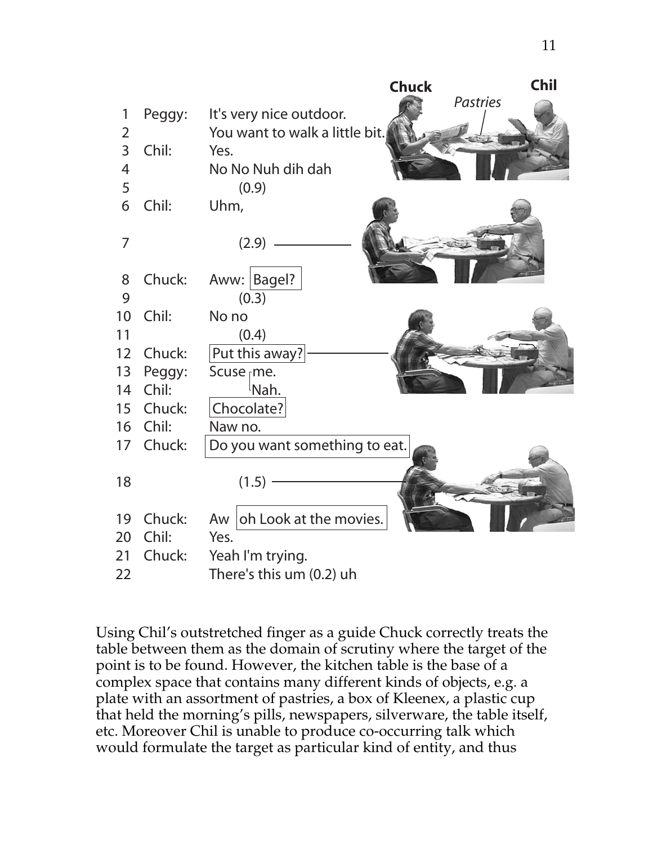

Using Chil's outstretched finger as a guide Chuck correctly treats the table between them as the domain of scrutiny where the target of the point is to be found. However, the kitchen table is the base of a complex space that contains many different kinds of objects, e.g. a plate with an assortment of pastries, a box of Kleenex, a plastic cup that held the morning's pills, newspapers, silverware, the table itself, etc. Moreover Chil is unable to produce co-occurring talk which would formulate the target as particular kind of entity, and thus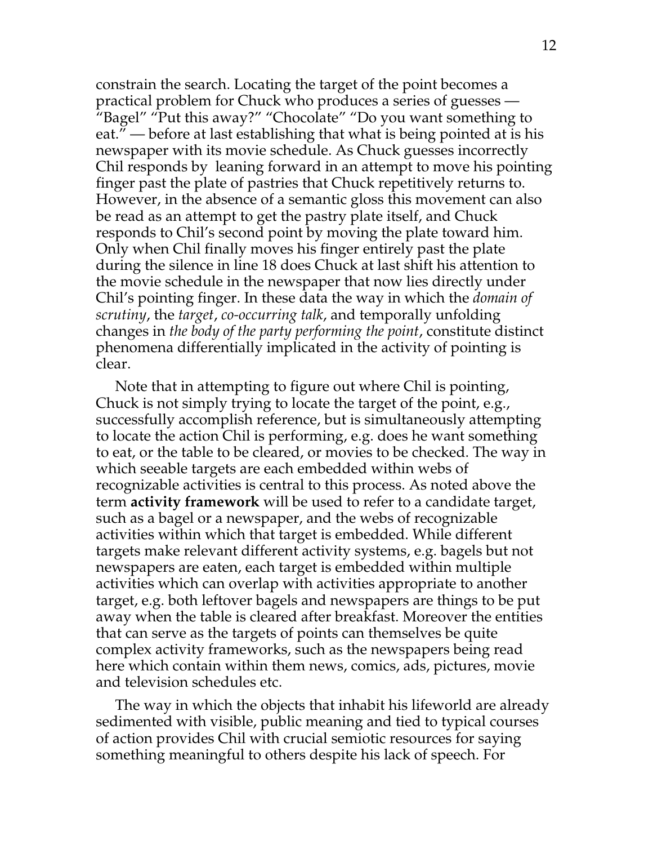constrain the search. Locating the target of the point becomes a practical problem for Chuck who produces a series of guesses — "Bagel" "Put this away?" "Chocolate" "Do you want something to eat." — before at last establishing that what is being pointed at is his newspaper with its movie schedule. As Chuck guesses incorrectly Chil responds by leaning forward in an attempt to move his pointing finger past the plate of pastries that Chuck repetitively returns to. However, in the absence of a semantic gloss this movement can also be read as an attempt to get the pastry plate itself, and Chuck responds to Chil's second point by moving the plate toward him. Only when Chil finally moves his finger entirely past the plate during the silence in line 18 does Chuck at last shift his attention to the movie schedule in the newspaper that now lies directly under Chil's pointing finger. In these data the way in which the *domain of scrutiny*, the *target*, *co-occurring talk*, and temporally unfolding changes in *the body of the party performing the point*, constitute distinct phenomena differentially implicated in the activity of pointing is clear.

Note that in attempting to figure out where Chil is pointing, Chuck is not simply trying to locate the target of the point, e.g., successfully accomplish reference, but is simultaneously attempting to locate the action Chil is performing, e.g. does he want something to eat, or the table to be cleared, or movies to be checked. The way in which seeable targets are each embedded within webs of recognizable activities is central to this process. As noted above the term **activity framework** will be used to refer to a candidate target, such as a bagel or a newspaper, and the webs of recognizable activities within which that target is embedded. While different targets make relevant different activity systems, e.g. bagels but not newspapers are eaten, each target is embedded within multiple activities which can overlap with activities appropriate to another target, e.g. both leftover bagels and newspapers are things to be put away when the table is cleared after breakfast. Moreover the entities that can serve as the targets of points can themselves be quite complex activity frameworks, such as the newspapers being read here which contain within them news, comics, ads, pictures, movie and television schedules etc.

The way in which the objects that inhabit his lifeworld are already sedimented with visible, public meaning and tied to typical courses of action provides Chil with crucial semiotic resources for saying something meaningful to others despite his lack of speech. For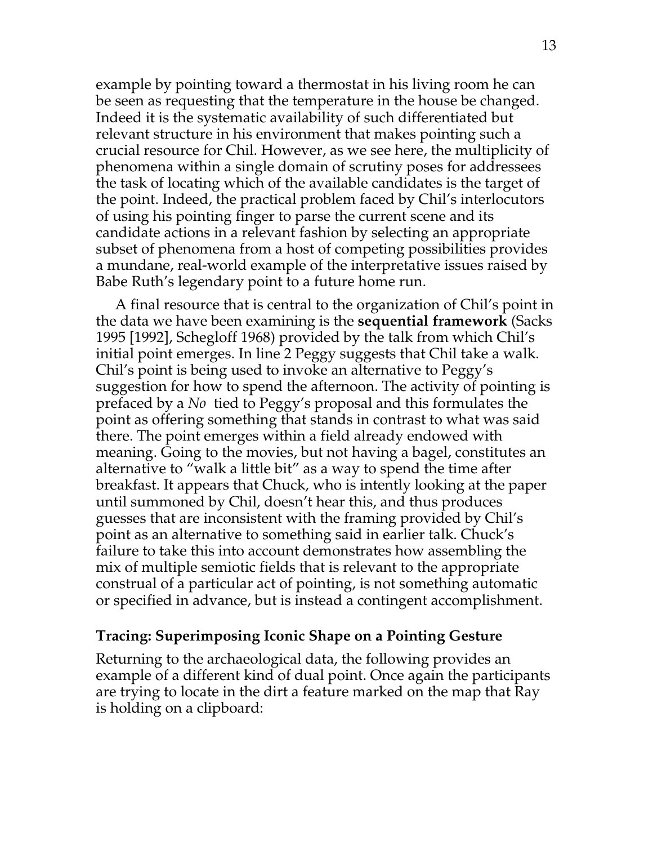example by pointing toward a thermostat in his living room he can be seen as requesting that the temperature in the house be changed. Indeed it is the systematic availability of such differentiated but relevant structure in his environment that makes pointing such a crucial resource for Chil. However, as we see here, the multiplicity of phenomena within a single domain of scrutiny poses for addressees the task of locating which of the available candidates is the target of the point. Indeed, the practical problem faced by Chil's interlocutors of using his pointing finger to parse the current scene and its candidate actions in a relevant fashion by selecting an appropriate subset of phenomena from a host of competing possibilities provides a mundane, real-world example of the interpretative issues raised by Babe Ruth's legendary point to a future home run.

A final resource that is central to the organization of Chil's point in the data we have been examining is the **sequential framework** (Sacks 1995 [1992], Schegloff 1968) provided by the talk from which Chil's initial point emerges. In line 2 Peggy suggests that Chil take a walk. Chil's point is being used to invoke an alternative to Peggy's suggestion for how to spend the afternoon. The activity of pointing is prefaced by a *No* tied to Peggy's proposal and this formulates the point as offering something that stands in contrast to what was said there. The point emerges within a field already endowed with meaning. Going to the movies, but not having a bagel, constitutes an alternative to "walk a little bit" as a way to spend the time after breakfast. It appears that Chuck, who is intently looking at the paper until summoned by Chil, doesn't hear this, and thus produces guesses that are inconsistent with the framing provided by Chil's point as an alternative to something said in earlier talk. Chuck's failure to take this into account demonstrates how assembling the mix of multiple semiotic fields that is relevant to the appropriate construal of a particular act of pointing, is not something automatic or specified in advance, but is instead a contingent accomplishment.

#### **Tracing: Superimposing Iconic Shape on a Pointing Gesture**

Returning to the archaeological data, the following provides an example of a different kind of dual point. Once again the participants are trying to locate in the dirt a feature marked on the map that Ray is holding on a clipboard: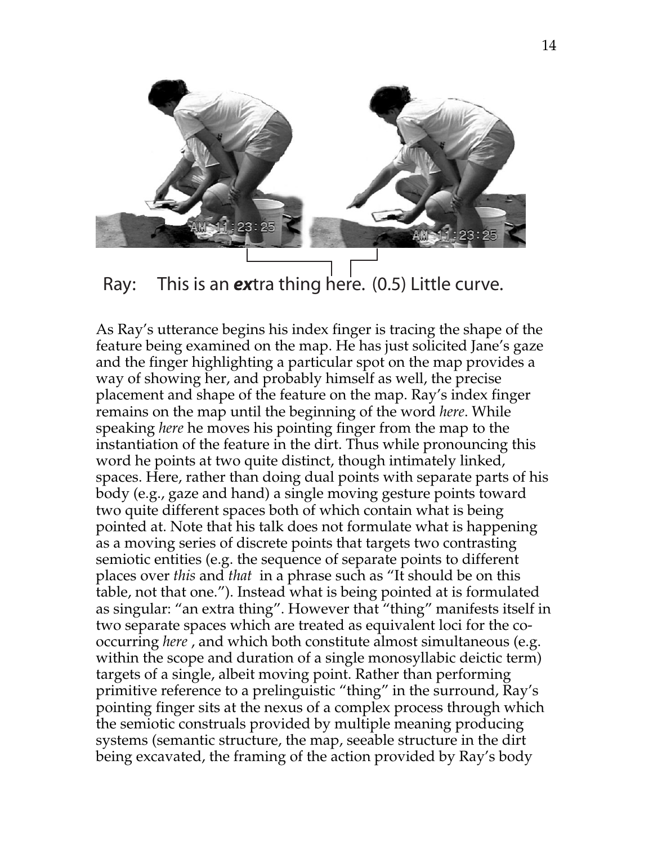

As Ray's utterance begins his index finger is tracing the shape of the feature being examined on the map. He has just solicited Jane's gaze and the finger highlighting a particular spot on the map provides a way of showing her, and probably himself as well, the precise placement and shape of the feature on the map. Ray's index finger remains on the map until the beginning of the word *here*. While speaking *here* he moves his pointing finger from the map to the instantiation of the feature in the dirt. Thus while pronouncing this word he points at two quite distinct, though intimately linked, spaces. Here, rather than doing dual points with separate parts of his body (e.g., gaze and hand) a single moving gesture points toward two quite different spaces both of which contain what is being pointed at. Note that his talk does not formulate what is happening as a moving series of discrete points that targets two contrasting semiotic entities (e.g. the sequence of separate points to different places over *this* and *that* in a phrase such as "It should be on this table, not that one."). Instead what is being pointed at is formulated as singular: "an extra thing". However that "thing" manifests itself in two separate spaces which are treated as equivalent loci for the cooccurring *here* , and which both constitute almost simultaneous (e.g. within the scope and duration of a single monosyllabic deictic term) targets of a single, albeit moving point. Rather than performing primitive reference to a prelinguistic "thing" in the surround, Ray's pointing finger sits at the nexus of a complex process through which the semiotic construals provided by multiple meaning producing systems (semantic structure, the map, seeable structure in the dirt being excavated, the framing of the action provided by Ray's body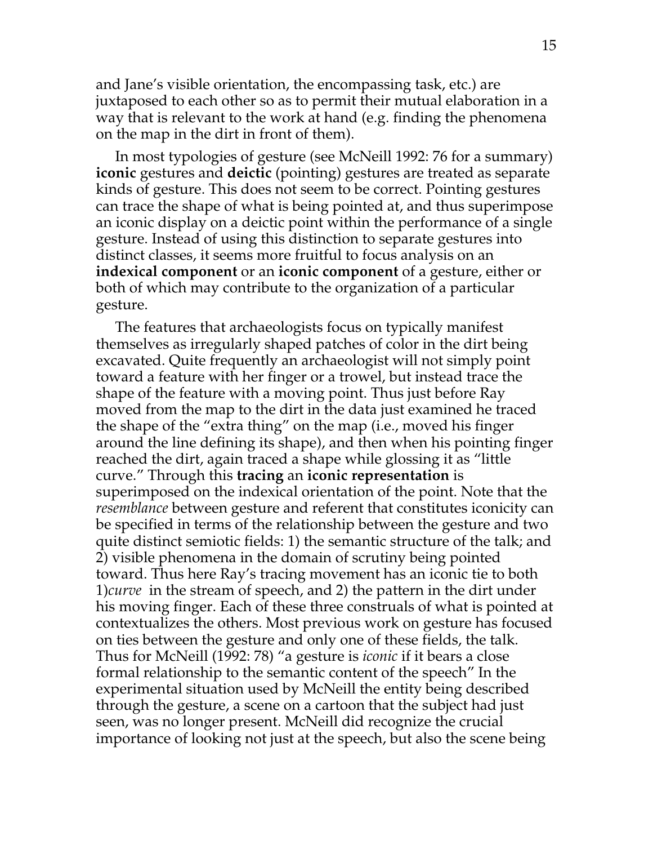and Jane's visible orientation, the encompassing task, etc.) are juxtaposed to each other so as to permit their mutual elaboration in a way that is relevant to the work at hand (e.g. finding the phenomena on the map in the dirt in front of them).

In most typologies of gesture (see McNeill 1992: 76 for a summary) **iconic** gestures and **deictic** (pointing) gestures are treated as separate kinds of gesture. This does not seem to be correct. Pointing gestures can trace the shape of what is being pointed at, and thus superimpose an iconic display on a deictic point within the performance of a single gesture. Instead of using this distinction to separate gestures into distinct classes, it seems more fruitful to focus analysis on an **indexical component** or an **iconic component** of a gesture, either or both of which may contribute to the organization of a particular gesture.

The features that archaeologists focus on typically manifest themselves as irregularly shaped patches of color in the dirt being excavated. Quite frequently an archaeologist will not simply point toward a feature with her finger or a trowel, but instead trace the shape of the feature with a moving point. Thus just before Ray moved from the map to the dirt in the data just examined he traced the shape of the "extra thing" on the map (i.e., moved his finger around the line defining its shape), and then when his pointing finger reached the dirt, again traced a shape while glossing it as "little curve." Through this **tracing** an **iconic representation** is superimposed on the indexical orientation of the point. Note that the *resemblance* between gesture and referent that constitutes iconicity can be specified in terms of the relationship between the gesture and two quite distinct semiotic fields: 1) the semantic structure of the talk; and 2) visible phenomena in the domain of scrutiny being pointed toward. Thus here Ray's tracing movement has an iconic tie to both 1)*curve* in the stream of speech, and 2) the pattern in the dirt under his moving finger. Each of these three construals of what is pointed at contextualizes the others. Most previous work on gesture has focused on ties between the gesture and only one of these fields, the talk. Thus for McNeill (1992: 78) "a gesture is *iconic* if it bears a close formal relationship to the semantic content of the speech" In the experimental situation used by McNeill the entity being described through the gesture, a scene on a cartoon that the subject had just seen, was no longer present. McNeill did recognize the crucial importance of looking not just at the speech, but also the scene being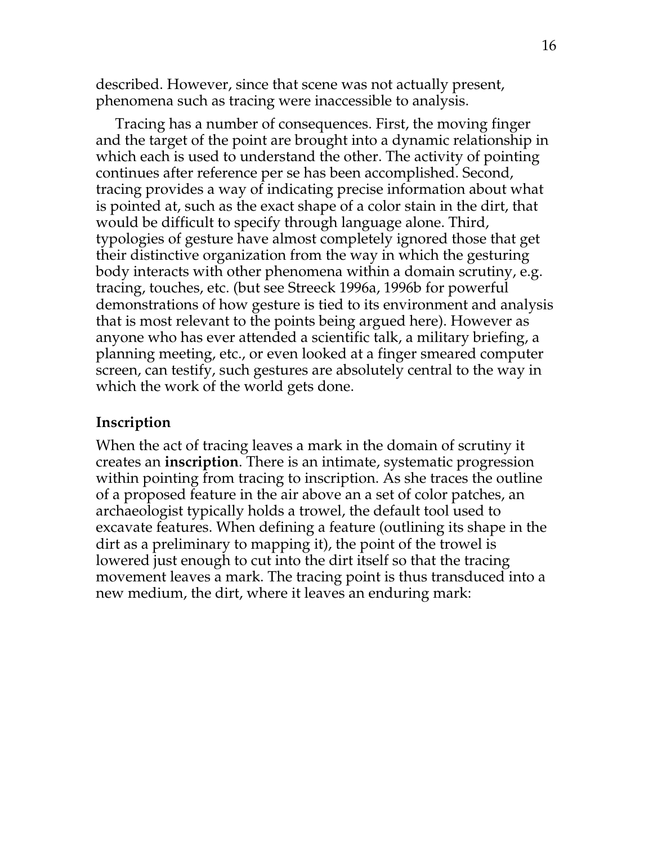described. However, since that scene was not actually present, phenomena such as tracing were inaccessible to analysis.

Tracing has a number of consequences. First, the moving finger and the target of the point are brought into a dynamic relationship in which each is used to understand the other. The activity of pointing continues after reference per se has been accomplished. Second, tracing provides a way of indicating precise information about what is pointed at, such as the exact shape of a color stain in the dirt, that would be difficult to specify through language alone. Third, typologies of gesture have almost completely ignored those that get their distinctive organization from the way in which the gesturing body interacts with other phenomena within a domain scrutiny, e.g. tracing, touches, etc. (but see Streeck 1996a, 1996b for powerful demonstrations of how gesture is tied to its environment and analysis that is most relevant to the points being argued here). However as anyone who has ever attended a scientific talk, a military briefing, a planning meeting, etc., or even looked at a finger smeared computer screen, can testify, such gestures are absolutely central to the way in which the work of the world gets done.

#### **Inscription**

When the act of tracing leaves a mark in the domain of scrutiny it creates an **inscription**. There is an intimate, systematic progression within pointing from tracing to inscription. As she traces the outline of a proposed feature in the air above an a set of color patches, an archaeologist typically holds a trowel, the default tool used to excavate features. When defining a feature (outlining its shape in the dirt as a preliminary to mapping it), the point of the trowel is lowered just enough to cut into the dirt itself so that the tracing movement leaves a mark. The tracing point is thus transduced into a new medium, the dirt, where it leaves an enduring mark: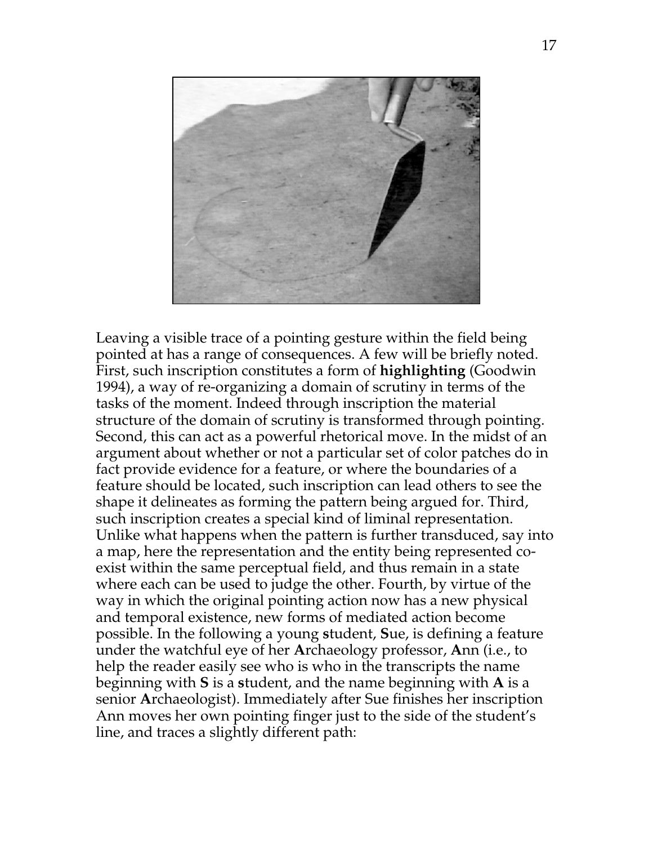

Leaving a visible trace of a pointing gesture within the field being pointed at has a range of consequences. A few will be briefly noted. First, such inscription constitutes a form of **highlighting** (Goodwin 1994), a way of re-organizing a domain of scrutiny in terms of the tasks of the moment. Indeed through inscription the material structure of the domain of scrutiny is transformed through pointing. Second, this can act as a powerful rhetorical move. In the midst of an argument about whether or not a particular set of color patches do in fact provide evidence for a feature, or where the boundaries of a feature should be located, such inscription can lead others to see the shape it delineates as forming the pattern being argued for. Third, such inscription creates a special kind of liminal representation. Unlike what happens when the pattern is further transduced, say into a map, here the representation and the entity being represented coexist within the same perceptual field, and thus remain in a state where each can be used to judge the other. Fourth, by virtue of the way in which the original pointing action now has a new physical and temporal existence, new forms of mediated action become possible. In the following a young **s**tudent, **S**ue, is defining a feature under the watchful eye of her **A**rchaeology professor, **A**nn (i.e., to help the reader easily see who is who in the transcripts the name beginning with **S** is a **s**tudent, and the name beginning with **A** is a senior **A**rchaeologist). Immediately after Sue finishes her inscription Ann moves her own pointing finger just to the side of the student's line, and traces a slightly different path: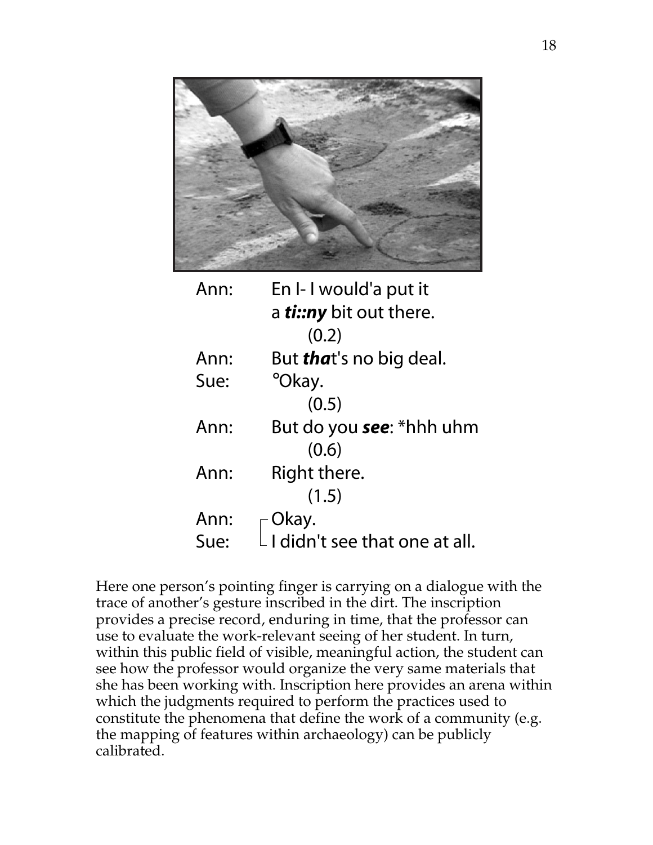

| Ann: | En I- I would'a put it                                   |  |
|------|----------------------------------------------------------|--|
|      | a <i>ti:ny</i> bit out there.                            |  |
|      | (0.2)                                                    |  |
| Ann: | But <i>tha</i> t's no big deal.                          |  |
| Sue: | °Okay.                                                   |  |
|      | (0.5)                                                    |  |
| Ann: | But do you <b>see</b> : *hhh uhm                         |  |
|      | (0.6)                                                    |  |
| Ann: | Right there.                                             |  |
|      | (1.5)                                                    |  |
| Ann: |                                                          |  |
| Sue: | $\bigl[$ Okay.<br>$\bigl[$ I didn't see that one at all. |  |

Here one person's pointing finger is carrying on a dialogue with the trace of another's gesture inscribed in the dirt. The inscription provides a precise record, enduring in time, that the professor can use to evaluate the work-relevant seeing of her student. In turn, within this public field of visible, meaningful action, the student can see how the professor would organize the very same materials that she has been working with. Inscription here provides an arena within which the judgments required to perform the practices used to constitute the phenomena that define the work of a community (e.g. the mapping of features within archaeology) can be publicly calibrated.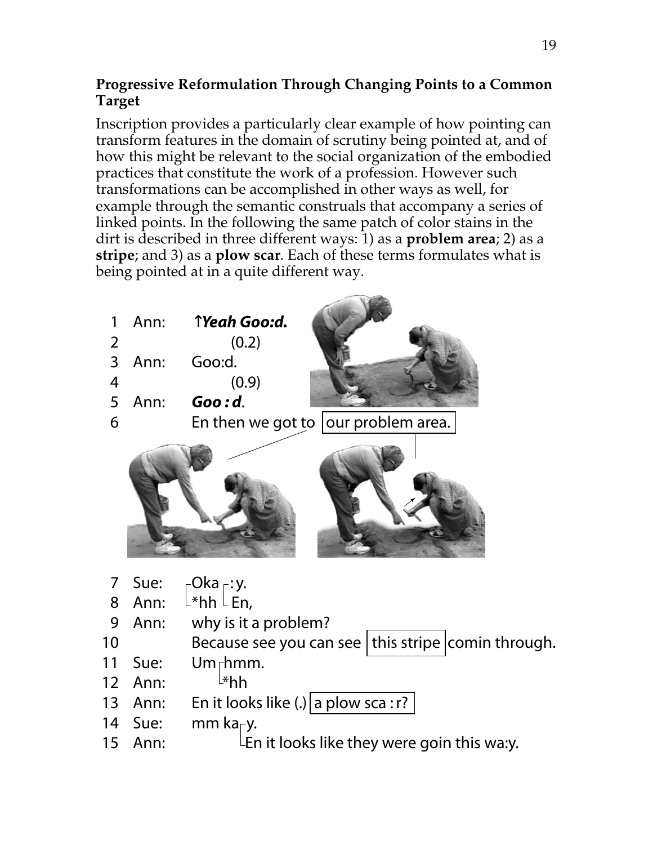# **Progressive Reformulation Through Changing Points to a Common Target**

Inscription provides a particularly clear example of how pointing can transform features in the domain of scrutiny being pointed at, and of how this might be relevant to the social organization of the embodied practices that constitute the work of a profession. However such transformations can be accomplished in other ways as well, for example through the semantic construals that accompany a series of linked points. In the following the same patch of color stains in the dirt is described in three different ways: 1) as a **problem area**; 2) as a **stripe**; and 3) as a **plow scar**. Each of these terms formulates what is being pointed at in a quite different way.

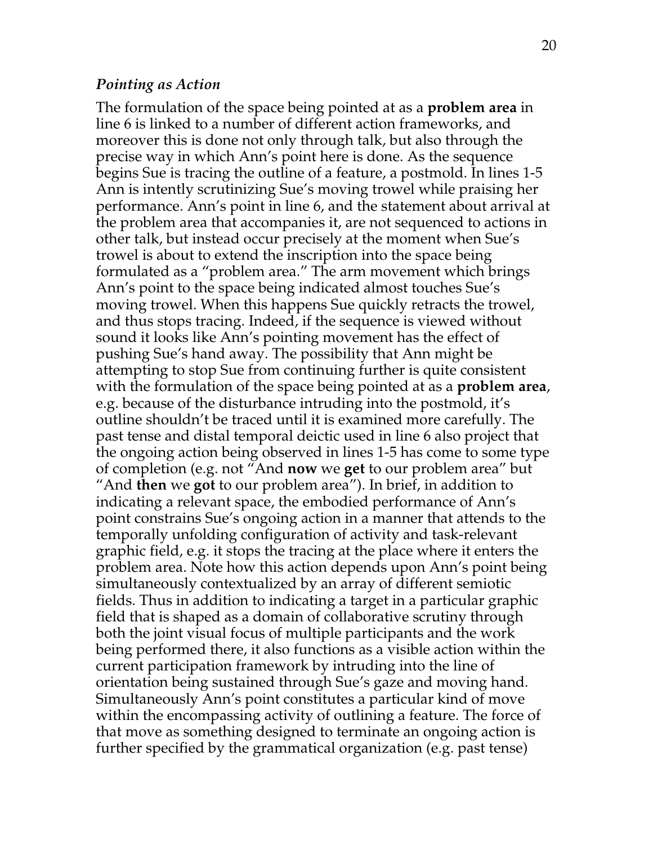#### *Pointing as Action*

The formulation of the space being pointed at as a **problem area** in line 6 is linked to a number of different action frameworks, and moreover this is done not only through talk, but also through the precise way in which Ann's point here is done. As the sequence begins Sue is tracing the outline of a feature, a postmold. In lines 1-5 Ann is intently scrutinizing Sue's moving trowel while praising her performance. Ann's point in line 6, and the statement about arrival at the problem area that accompanies it, are not sequenced to actions in other talk, but instead occur precisely at the moment when Sue's trowel is about to extend the inscription into the space being formulated as a "problem area." The arm movement which brings Ann's point to the space being indicated almost touches Sue's moving trowel. When this happens Sue quickly retracts the trowel, and thus stops tracing. Indeed, if the sequence is viewed without sound it looks like Ann's pointing movement has the effect of pushing Sue's hand away. The possibility that Ann might be attempting to stop Sue from continuing further is quite consistent with the formulation of the space being pointed at as a **problem area**, e.g. because of the disturbance intruding into the postmold, it's outline shouldn't be traced until it is examined more carefully. The past tense and distal temporal deictic used in line 6 also project that the ongoing action being observed in lines 1-5 has come to some type of completion (e.g. not "And **now** we **get** to our problem area" but "And **then** we **got** to our problem area"). In brief, in addition to indicating a relevant space, the embodied performance of Ann's point constrains Sue's ongoing action in a manner that attends to the temporally unfolding configuration of activity and task-relevant graphic field, e.g. it stops the tracing at the place where it enters the problem area. Note how this action depends upon Ann's point being simultaneously contextualized by an array of different semiotic fields. Thus in addition to indicating a target in a particular graphic field that is shaped as a domain of collaborative scrutiny through both the joint visual focus of multiple participants and the work being performed there, it also functions as a visible action within the current participation framework by intruding into the line of orientation being sustained through Sue's gaze and moving hand. Simultaneously Ann's point constitutes a particular kind of move within the encompassing activity of outlining a feature. The force of that move as something designed to terminate an ongoing action is further specified by the grammatical organization (e.g. past tense)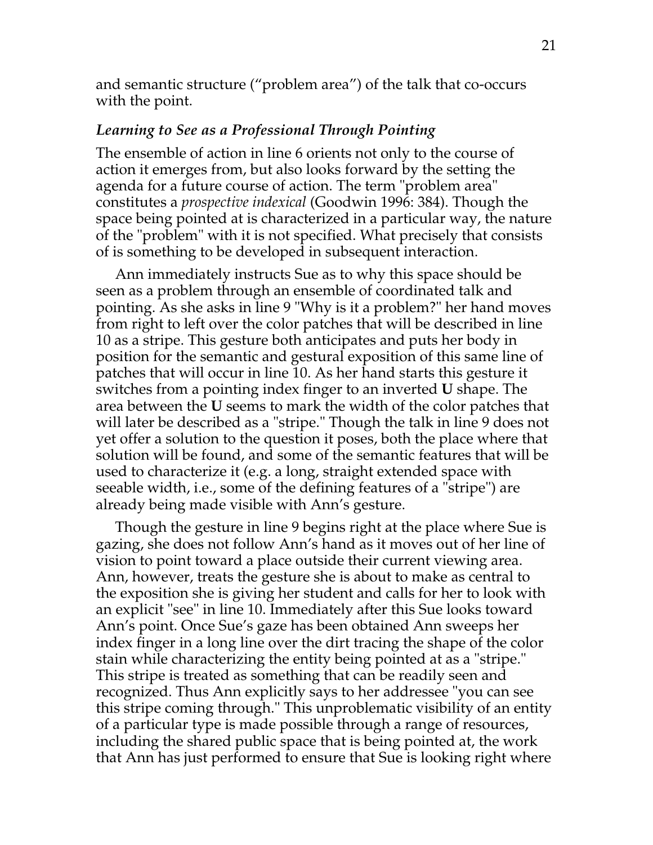and semantic structure ("problem area") of the talk that co-occurs with the point.

#### *Learning to See as a Professional Through Pointing*

The ensemble of action in line 6 orients not only to the course of action it emerges from, but also looks forward by the setting the agenda for a future course of action. The term "problem area" constitutes a *prospective indexical* (Goodwin 1996: 384). Though the space being pointed at is characterized in a particular way, the nature of the "problem" with it is not specified. What precisely that consists of is something to be developed in subsequent interaction.

Ann immediately instructs Sue as to why this space should be seen as a problem through an ensemble of coordinated talk and pointing. As she asks in line 9 "Why is it a problem?" her hand moves from right to left over the color patches that will be described in line 10 as a stripe. This gesture both anticipates and puts her body in position for the semantic and gestural exposition of this same line of patches that will occur in line 10. As her hand starts this gesture it switches from a pointing index finger to an inverted **U** shape. The area between the **U** seems to mark the width of the color patches that will later be described as a "stripe." Though the talk in line 9 does not yet offer a solution to the question it poses, both the place where that solution will be found, and some of the semantic features that will be used to characterize it (e.g. a long, straight extended space with seeable width, i.e., some of the defining features of a "stripe") are already being made visible with Ann's gesture.

Though the gesture in line 9 begins right at the place where Sue is gazing, she does not follow Ann's hand as it moves out of her line of vision to point toward a place outside their current viewing area. Ann, however, treats the gesture she is about to make as central to the exposition she is giving her student and calls for her to look with an explicit "see" in line 10. Immediately after this Sue looks toward Ann's point. Once Sue's gaze has been obtained Ann sweeps her index finger in a long line over the dirt tracing the shape of the color stain while characterizing the entity being pointed at as a "stripe." This stripe is treated as something that can be readily seen and recognized. Thus Ann explicitly says to her addressee "you can see this stripe coming through." This unproblematic visibility of an entity of a particular type is made possible through a range of resources, including the shared public space that is being pointed at, the work that Ann has just performed to ensure that Sue is looking right where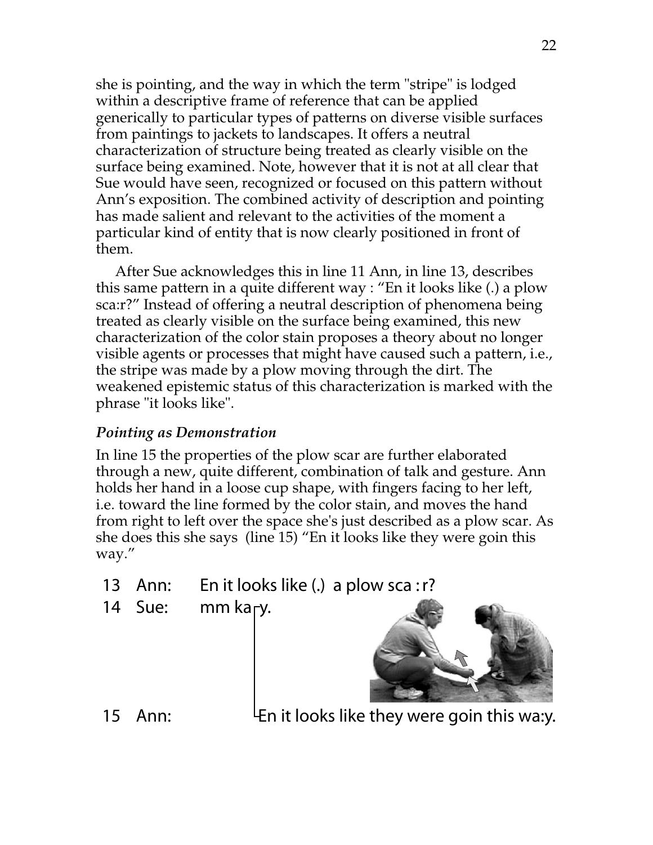she is pointing, and the way in which the term "stripe" is lodged within a descriptive frame of reference that can be applied generically to particular types of patterns on diverse visible surfaces from paintings to jackets to landscapes. It offers a neutral characterization of structure being treated as clearly visible on the surface being examined. Note, however that it is not at all clear that Sue would have seen, recognized or focused on this pattern without Ann's exposition. The combined activity of description and pointing has made salient and relevant to the activities of the moment a particular kind of entity that is now clearly positioned in front of them.

After Sue acknowledges this in line 11 Ann, in line 13, describes this same pattern in a quite different way : "En it looks like (.) a plow sca:r?" Instead of offering a neutral description of phenomena being treated as clearly visible on the surface being examined, this new characterization of the color stain proposes a theory about no longer visible agents or processes that might have caused such a pattern, i.e., the stripe was made by a plow moving through the dirt. The weakened epistemic status of this characterization is marked with the phrase "it looks like".

## *Pointing as Demonstration*

In line 15 the properties of the plow scar are further elaborated through a new, quite different, combination of talk and gesture. Ann holds her hand in a loose cup shape, with fingers facing to her left, i.e. toward the line formed by the color stain, and moves the hand from right to left over the space she's just described as a plow scar. As she does this she says (line 15) "En it looks like they were goin this way."

13 Ann: En it looks like (.) a plow sca : r?

14 Sue: mm ka<sub> $\Gamma$ </sub>y.

15 Ann: En it looks like they were goin this wa:y.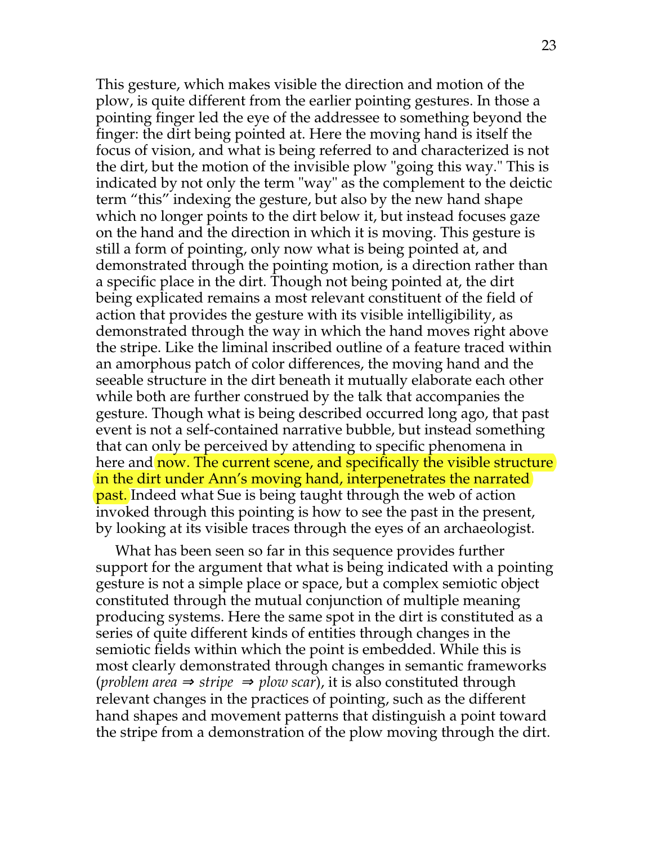This gesture, which makes visible the direction and motion of the plow, is quite different from the earlier pointing gestures. In those a pointing finger led the eye of the addressee to something beyond the finger: the dirt being pointed at. Here the moving hand is itself the focus of vision, and what is being referred to and characterized is not the dirt, but the motion of the invisible plow "going this way." This is indicated by not only the term "way" as the complement to the deictic term "this" indexing the gesture, but also by the new hand shape which no longer points to the dirt below it, but instead focuses gaze on the hand and the direction in which it is moving. This gesture is still a form of pointing, only now what is being pointed at, and demonstrated through the pointing motion, is a direction rather than a specific place in the dirt. Though not being pointed at, the dirt being explicated remains a most relevant constituent of the field of action that provides the gesture with its visible intelligibility, as demonstrated through the way in which the hand moves right above the stripe. Like the liminal inscribed outline of a feature traced within an amorphous patch of color differences, the moving hand and the seeable structure in the dirt beneath it mutually elaborate each other while both are further construed by the talk that accompanies the gesture. Though what is being described occurred long ago, that past event is not a self-contained narrative bubble, but instead something that can only be perceived by attending to specific phenomena in here and now. The current scene, and specifically the visible structure in the dirt under Ann's moving hand, interpenetrates the narrated past. Indeed what Sue is being taught through the web of action invoked through this pointing is how to see the past in the present, by looking at its visible traces through the eyes of an archaeologist.

What has been seen so far in this sequence provides further support for the argument that what is being indicated with a pointing gesture is not a simple place or space, but a complex semiotic object constituted through the mutual conjunction of multiple meaning producing systems. Here the same spot in the dirt is constituted as a series of quite different kinds of entities through changes in the semiotic fields within which the point is embedded. While this is most clearly demonstrated through changes in semantic frameworks (*problem area* ⇒ *stripe* ⇒ *plow scar*), it is also constituted through relevant changes in the practices of pointing, such as the different hand shapes and movement patterns that distinguish a point toward the stripe from a demonstration of the plow moving through the dirt.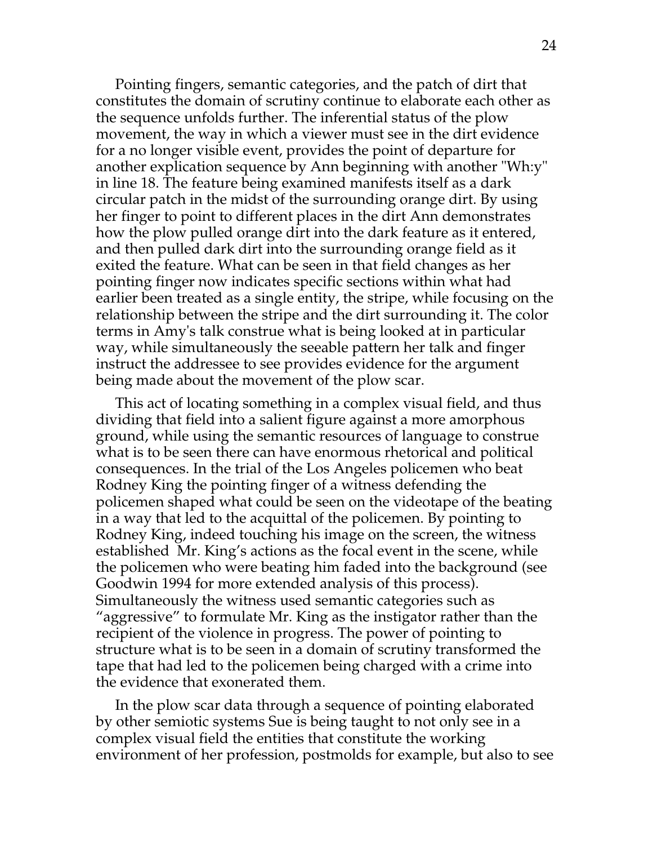Pointing fingers, semantic categories, and the patch of dirt that constitutes the domain of scrutiny continue to elaborate each other as the sequence unfolds further. The inferential status of the plow movement, the way in which a viewer must see in the dirt evidence for a no longer visible event, provides the point of departure for another explication sequence by Ann beginning with another "Wh:y" in line 18. The feature being examined manifests itself as a dark circular patch in the midst of the surrounding orange dirt. By using her finger to point to different places in the dirt Ann demonstrates how the plow pulled orange dirt into the dark feature as it entered, and then pulled dark dirt into the surrounding orange field as it exited the feature. What can be seen in that field changes as her pointing finger now indicates specific sections within what had earlier been treated as a single entity, the stripe, while focusing on the relationship between the stripe and the dirt surrounding it. The color terms in Amy's talk construe what is being looked at in particular way, while simultaneously the seeable pattern her talk and finger instruct the addressee to see provides evidence for the argument being made about the movement of the plow scar.

This act of locating something in a complex visual field, and thus dividing that field into a salient figure against a more amorphous ground, while using the semantic resources of language to construe what is to be seen there can have enormous rhetorical and political consequences. In the trial of the Los Angeles policemen who beat Rodney King the pointing finger of a witness defending the policemen shaped what could be seen on the videotape of the beating in a way that led to the acquittal of the policemen. By pointing to Rodney King, indeed touching his image on the screen, the witness established Mr. King's actions as the focal event in the scene, while the policemen who were beating him faded into the background (see Goodwin 1994 for more extended analysis of this process). Simultaneously the witness used semantic categories such as "aggressive" to formulate Mr. King as the instigator rather than the recipient of the violence in progress. The power of pointing to structure what is to be seen in a domain of scrutiny transformed the tape that had led to the policemen being charged with a crime into the evidence that exonerated them.

In the plow scar data through a sequence of pointing elaborated by other semiotic systems Sue is being taught to not only see in a complex visual field the entities that constitute the working environment of her profession, postmolds for example, but also to see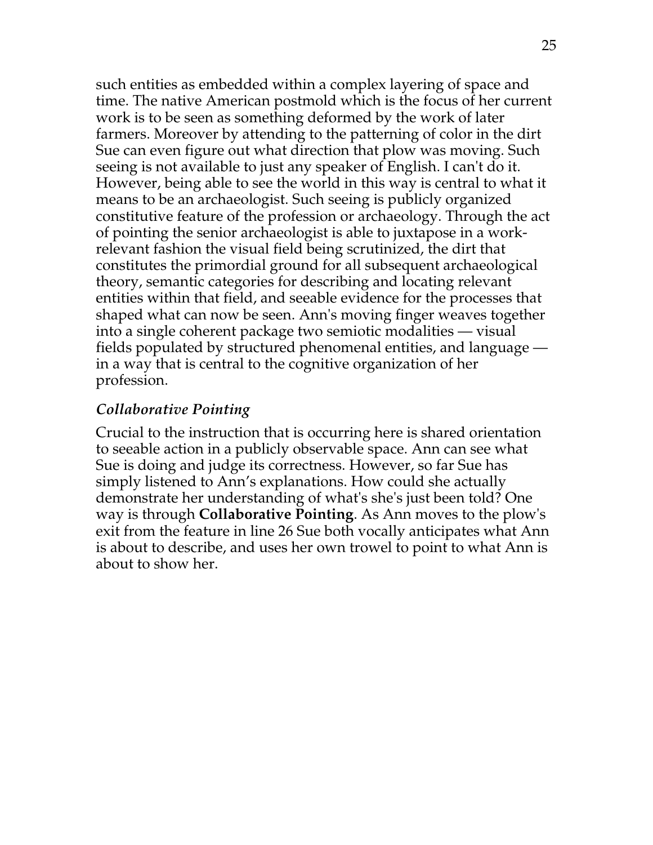such entities as embedded within a complex layering of space and time. The native American postmold which is the focus of her current work is to be seen as something deformed by the work of later farmers. Moreover by attending to the patterning of color in the dirt Sue can even figure out what direction that plow was moving. Such seeing is not available to just any speaker of English. I can't do it. However, being able to see the world in this way is central to what it means to be an archaeologist. Such seeing is publicly organized constitutive feature of the profession or archaeology. Through the act of pointing the senior archaeologist is able to juxtapose in a workrelevant fashion the visual field being scrutinized, the dirt that constitutes the primordial ground for all subsequent archaeological theory, semantic categories for describing and locating relevant entities within that field, and seeable evidence for the processes that shaped what can now be seen. Ann's moving finger weaves together into a single coherent package two semiotic modalities — visual fields populated by structured phenomenal entities, and language in a way that is central to the cognitive organization of her profession.

## *Collaborative Pointing*

Crucial to the instruction that is occurring here is shared orientation to seeable action in a publicly observable space. Ann can see what Sue is doing and judge its correctness. However, so far Sue has simply listened to Ann's explanations. How could she actually demonstrate her understanding of what's she's just been told? One way is through **Collaborative Pointing**. As Ann moves to the plow's exit from the feature in line 26 Sue both vocally anticipates what Ann is about to describe, and uses her own trowel to point to what Ann is about to show her.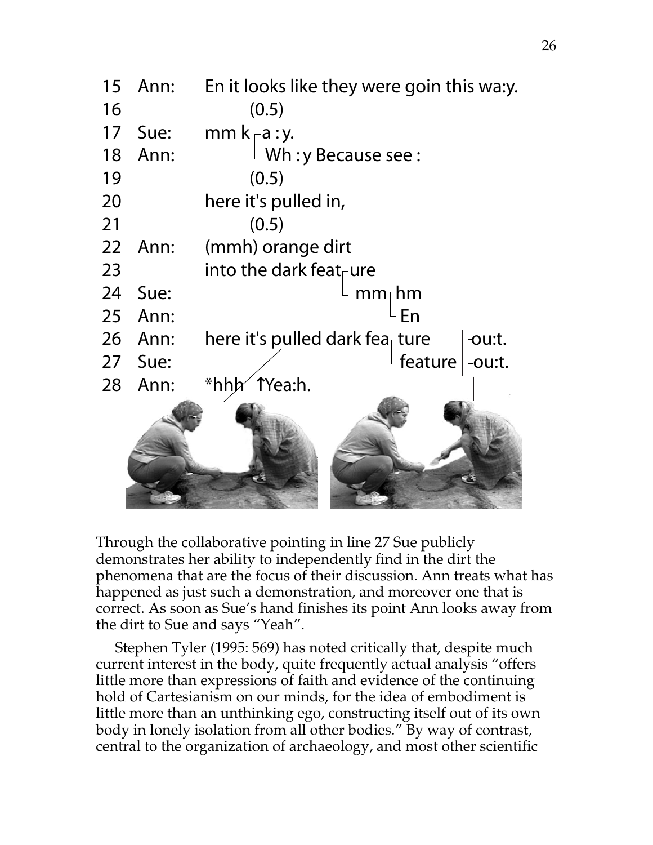

Through the collaborative pointing in line 27 Sue publicly demonstrates her ability to independently find in the dirt the phenomena that are the focus of their discussion. Ann treats what has happened as just such a demonstration, and moreover one that is correct. As soon as Sue's hand finishes its point Ann looks away from the dirt to Sue and says "Yeah".

Stephen Tyler (1995: 569) has noted critically that, despite much current interest in the body, quite frequently actual analysis "offers little more than expressions of faith and evidence of the continuing hold of Cartesianism on our minds, for the idea of embodiment is little more than an unthinking ego, constructing itself out of its own body in lonely isolation from all other bodies." By way of contrast, central to the organization of archaeology, and most other scientific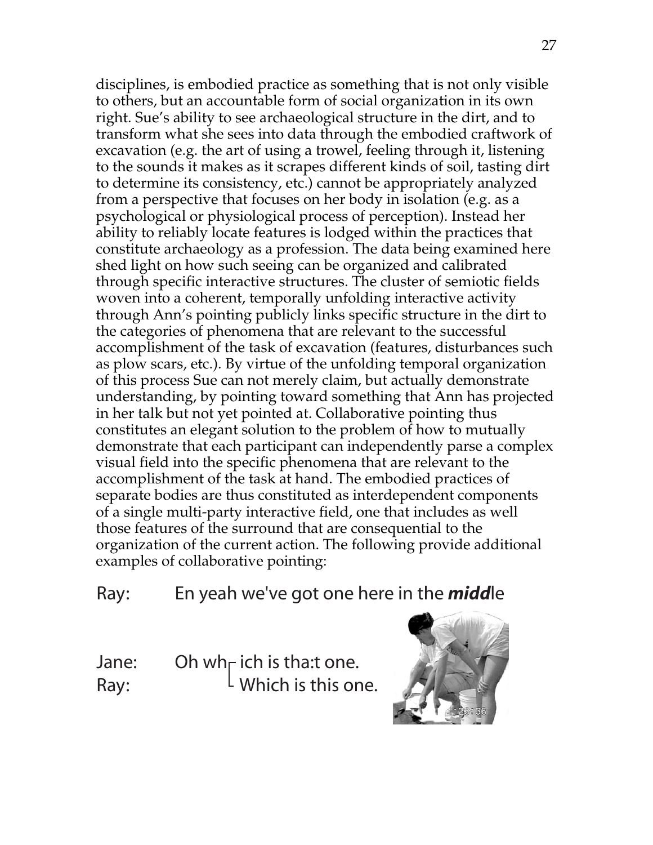disciplines, is embodied practice as something that is not only visible to others, but an accountable form of social organization in its own right. Sue's ability to see archaeological structure in the dirt, and to transform what she sees into data through the embodied craftwork of excavation (e.g. the art of using a trowel, feeling through it, listening to the sounds it makes as it scrapes different kinds of soil, tasting dirt to determine its consistency, etc.) cannot be appropriately analyzed from a perspective that focuses on her body in isolation (e.g. as a psychological or physiological process of perception). Instead her ability to reliably locate features is lodged within the practices that constitute archaeology as a profession. The data being examined here shed light on how such seeing can be organized and calibrated through specific interactive structures. The cluster of semiotic fields woven into a coherent, temporally unfolding interactive activity through Ann's pointing publicly links specific structure in the dirt to the categories of phenomena that are relevant to the successful accomplishment of the task of excavation (features, disturbances such as plow scars, etc.). By virtue of the unfolding temporal organization of this process Sue can not merely claim, but actually demonstrate understanding, by pointing toward something that Ann has projected in her talk but not yet pointed at. Collaborative pointing thus constitutes an elegant solution to the problem of how to mutually demonstrate that each participant can independently parse a complex visual field into the specific phenomena that are relevant to the accomplishment of the task at hand. The embodied practices of separate bodies are thus constituted as interdependent components of a single multi-party interactive field, one that includes as well those features of the surround that are consequential to the organization of the current action. The following provide additional examples of collaborative pointing:

Ray: En yeah we've got one here in the *midd*le

Jane:  $\Box$  Oh wh $\Box$  ich is tha:t one. Ray:  $\mathsf{L}$  Which is this one.

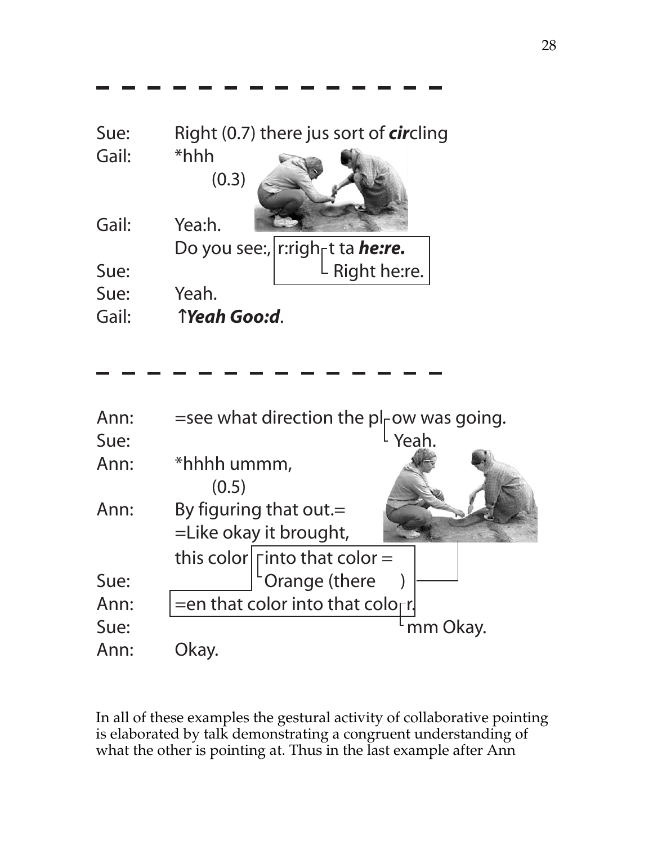| Sue:<br>Gail: | *hhh<br>(0.3)         | Right (0.7) there jus sort of <i>circling</i>                                            |
|---------------|-----------------------|------------------------------------------------------------------------------------------|
| Gail:         | Yea:h.                |                                                                                          |
| Sue:          |                       | Do you see:, $\boxed{\text{r:right}}$ t ta <b>he:re.</b><br>$\left[\text{Right} \right]$ |
| Sue:<br>Gail: | Yeah.<br>TYeah Goo:d. |                                                                                          |

Ann:  $=$  see what direction the pl<sub> $\Gamma$ </sub> ow was going. Sue: A state of the state of the state of the state of the state of the state of the state of the state of the Ann: \*hhhh ummm, (0.5) Ann: By figuring that out.= =Like okay it brought, this color  $\vert$  rinto that color = Sue: <u>Chamage</u> (there Ann:  $=$   $|=$ en that color into that colo<sub> $\Gamma$ r</sub>. Sue: the monotonical contract of the contract of the monotonic contract of the monotonic contract of the monotonic contract of the monotonic contract of the monotonic contract of the monotonic contract of the monotonic con Ann: Okay.

In all of these examples the gestural activity of collaborative pointing is elaborated by talk demonstrating a congruent understanding of what the other is pointing at. Thus in the last example after Ann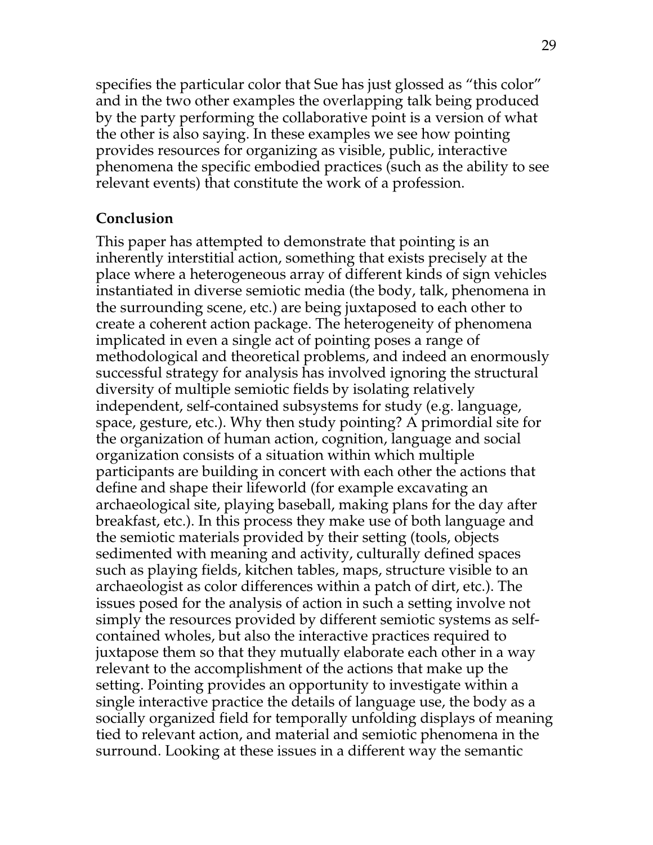specifies the particular color that Sue has just glossed as "this color" and in the two other examples the overlapping talk being produced by the party performing the collaborative point is a version of what the other is also saying. In these examples we see how pointing provides resources for organizing as visible, public, interactive phenomena the specific embodied practices (such as the ability to see relevant events) that constitute the work of a profession.

#### **Conclusion**

This paper has attempted to demonstrate that pointing is an inherently interstitial action, something that exists precisely at the place where a heterogeneous array of different kinds of sign vehicles instantiated in diverse semiotic media (the body, talk, phenomena in the surrounding scene, etc.) are being juxtaposed to each other to create a coherent action package. The heterogeneity of phenomena implicated in even a single act of pointing poses a range of methodological and theoretical problems, and indeed an enormously successful strategy for analysis has involved ignoring the structural diversity of multiple semiotic fields by isolating relatively independent, self-contained subsystems for study (e.g. language, space, gesture, etc.). Why then study pointing? A primordial site for the organization of human action, cognition, language and social organization consists of a situation within which multiple participants are building in concert with each other the actions that define and shape their lifeworld (for example excavating an archaeological site, playing baseball, making plans for the day after breakfast, etc.). In this process they make use of both language and the semiotic materials provided by their setting (tools, objects sedimented with meaning and activity, culturally defined spaces such as playing fields, kitchen tables, maps, structure visible to an archaeologist as color differences within a patch of dirt, etc.). The issues posed for the analysis of action in such a setting involve not simply the resources provided by different semiotic systems as selfcontained wholes, but also the interactive practices required to juxtapose them so that they mutually elaborate each other in a way relevant to the accomplishment of the actions that make up the setting. Pointing provides an opportunity to investigate within a single interactive practice the details of language use, the body as a socially organized field for temporally unfolding displays of meaning tied to relevant action, and material and semiotic phenomena in the surround. Looking at these issues in a different way the semantic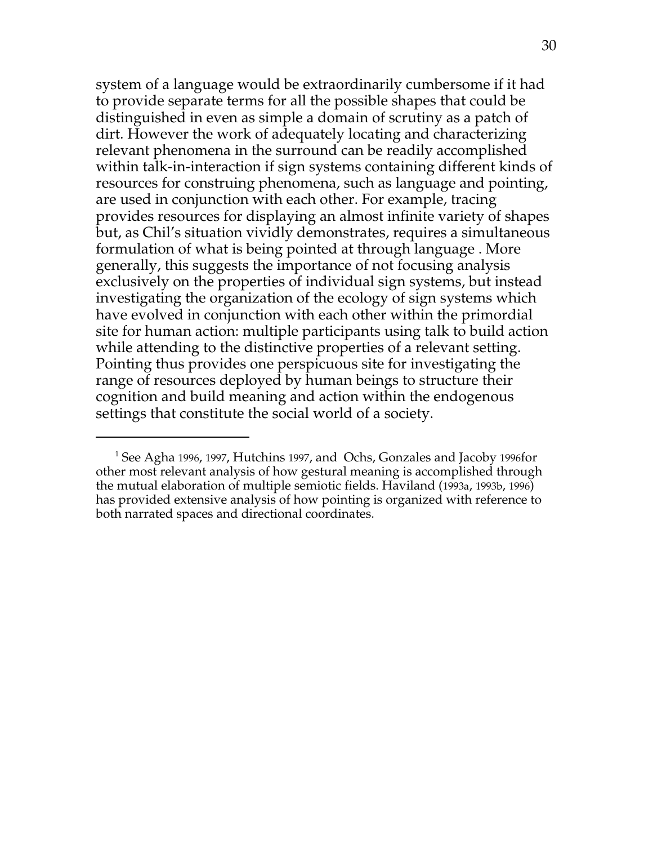system of a language would be extraordinarily cumbersome if it had to provide separate terms for all the possible shapes that could be distinguished in even as simple a domain of scrutiny as a patch of dirt. However the work of adequately locating and characterizing relevant phenomena in the surround can be readily accomplished within talk-in-interaction if sign systems containing different kinds of resources for construing phenomena, such as language and pointing, are used in conjunction with each other. For example, tracing provides resources for displaying an almost infinite variety of shapes but, as Chil's situation vividly demonstrates, requires a simultaneous formulation of what is being pointed at through language . More generally, this suggests the importance of not focusing analysis exclusively on the properties of individual sign systems, but instead investigating the organization of the ecology of sign systems which have evolved in conjunction with each other within the primordial site for human action: multiple participants using talk to build action while attending to the distinctive properties of a relevant setting. Pointing thus provides one perspicuous site for investigating the range of resources deployed by human beings to structure their cognition and build meaning and action within the endogenous settings that constitute the social world of a society.

 $\overline{a}$ 

 $^1$  See Agha 1996, 1997, Hutchins 1997, and Ochs, Gonzales and Jacoby 1996for other most relevant analysis of how gestural meaning is accomplished through the mutual elaboration of multiple semiotic fields. Haviland (1993a, 1993b, 1996) has provided extensive analysis of how pointing is organized with reference to both narrated spaces and directional coordinates.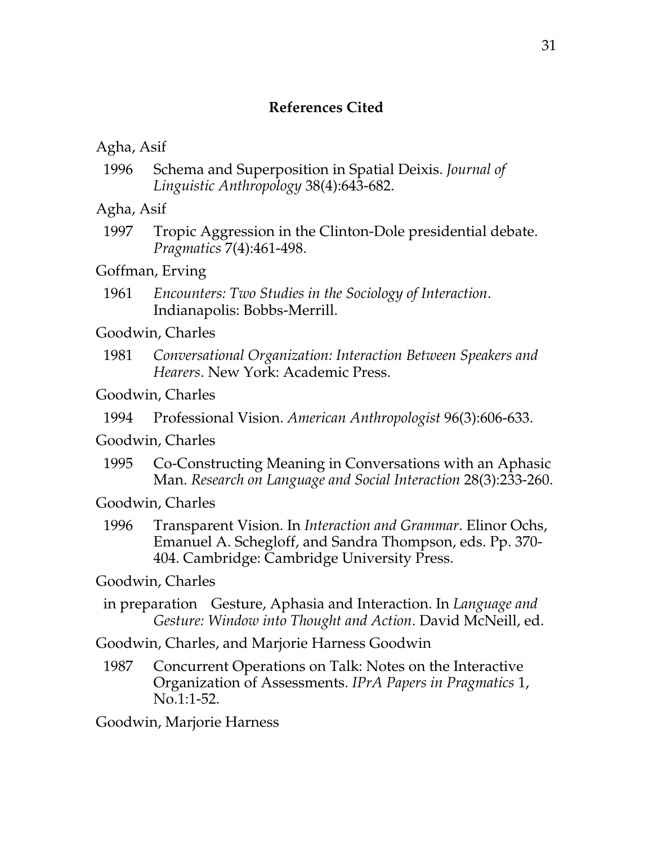#### **References Cited**

#### Agha, Asif

 1996 Schema and Superposition in Spatial Deixis. *Journal of Linguistic Anthropology* 38(4):643-682.

#### Agha, Asif

 1997 Tropic Aggression in the Clinton-Dole presidential debate. *Pragmatics* 7(4):461-498.

## Goffman, Erving

 1961 *Encounters: Two Studies in the Sociology of Interaction*. Indianapolis: Bobbs-Merrill.

## Goodwin, Charles

 1981 *Conversational Organization: Interaction Between Speakers and Hearers*. New York: Academic Press.

## Goodwin, Charles

1994 Professional Vision. *American Anthropologist* 96(3):606-633.

## Goodwin, Charles

 1995 Co-Constructing Meaning in Conversations with an Aphasic Man. *Research on Language and Social Interaction* 28(3):233-260.

## Goodwin, Charles

 1996 Transparent Vision. In *Interaction and Grammar*. Elinor Ochs, Emanuel A. Schegloff, and Sandra Thompson, eds. Pp. 370- 404. Cambridge: Cambridge University Press.

## Goodwin, Charles

- in preparation Gesture, Aphasia and Interaction. In *Language and Gesture: Window into Thought and Action*. David McNeill, ed.
- Goodwin, Charles, and Marjorie Harness Goodwin
- 1987 Concurrent Operations on Talk: Notes on the Interactive Organization of Assessments. *IPrA Papers in Pragmatics* 1, No.1:1-52.

Goodwin, Marjorie Harness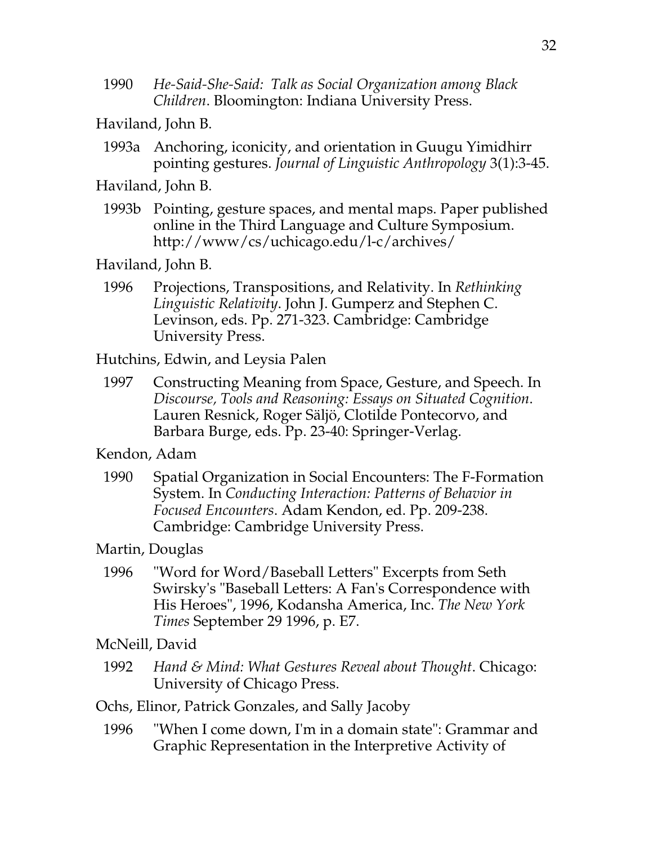- 1990 *He-Said-She-Said: Talk as Social Organization among Black Children*. Bloomington: Indiana University Press.
- Haviland, John B.
- 1993a Anchoring, iconicity, and orientation in Guugu Yimidhirr pointing gestures. *Journal of Linguistic Anthropology* 3(1):3-45.
- Haviland, John B.
- 1993b Pointing, gesture spaces, and mental maps. Paper published online in the Third Language and Culture Symposium. http://www/cs/uchicago.edu/l-c/archives/
- Haviland, John B.
	- 1996 Projections, Transpositions, and Relativity. In *Rethinking Linguistic Relativity*. John J. Gumperz and Stephen C. Levinson, eds. Pp. 271-323. Cambridge: Cambridge University Press.

Hutchins, Edwin, and Leysia Palen

- 1997 Constructing Meaning from Space, Gesture, and Speech. In *Discourse, Tools and Reasoning: Essays on Situated Cognition*. Lauren Resnick, Roger Säljö, Clotilde Pontecorvo, and Barbara Burge, eds. Pp. 23-40: Springer-Verlag.
- Kendon, Adam
- 1990 Spatial Organization in Social Encounters: The F-Formation System. In *Conducting Interaction: Patterns of Behavior in Focused Encounters*. Adam Kendon, ed. Pp. 209-238. Cambridge: Cambridge University Press.
- Martin, Douglas
- 1996 "Word for Word/Baseball Letters" Excerpts from Seth Swirsky's "Baseball Letters: A Fan's Correspondence with His Heroes", 1996, Kodansha America, Inc. *The New York Times* September 29 1996, p. E7.
- McNeill, David
- 1992 *Hand & Mind: What Gestures Reveal about Thought*. Chicago: University of Chicago Press.
- Ochs, Elinor, Patrick Gonzales, and Sally Jacoby
- 1996 "When I come down, I'm in a domain state": Grammar and Graphic Representation in the Interpretive Activity of